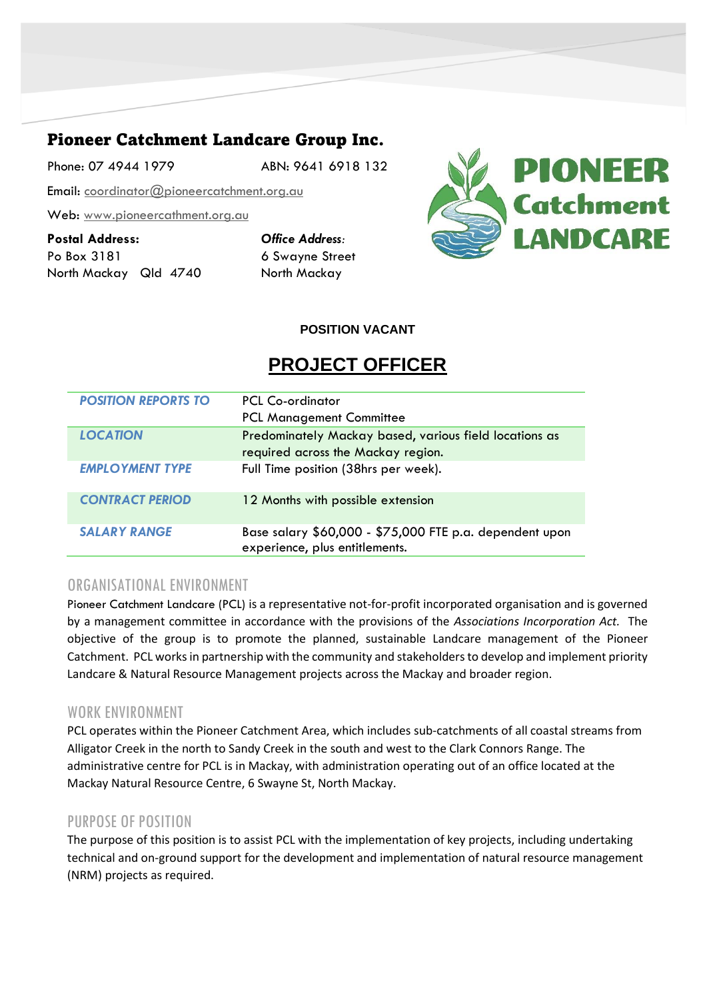# Pioneer Catchment Landcare Group Inc.

Phone: 07 4944 1979 ABN: 9641 6918 132

Email: [coordinator@pioneercatchment.org.au](mailto:coordinator@pioneercatchment.org.au)

Web: [www.pioneercathment.org.au](http://www.pioneercathment.org.au/)

**Postal Address:** *Office Address:* Po Box 3181 6 Swayne Street North Mackay Qld 4740 North Mackay



**POSITION VACANT**

# **PROJECT OFFICER**

| <b>POSITION REPORTS TO</b> | PCL Co-ordinator<br><b>PCL Management Committee</b>                                          |
|----------------------------|----------------------------------------------------------------------------------------------|
| <b>LOCATION</b>            | Predominately Mackay based, various field locations as<br>required across the Mackay region. |
| <b>EMPLOYMENT TYPE</b>     | Full Time position (38hrs per week).                                                         |
| <b>CONTRACT PERIOD</b>     | 12 Months with possible extension                                                            |
| <b>SALARY RANGE</b>        | Base salary \$60,000 - \$75,000 FTE p.a. dependent upon<br>experience, plus entitlements.    |

# ORGANISATIONAL ENVIRONMENT

Pioneer Catchment Landcare (PCL) is a representative not-for-profit incorporated organisation and is governed by a management committee in accordance with the provisions of the *Associations Incorporation Act.* The objective of the group is to promote the planned, sustainable Landcare management of the Pioneer Catchment. PCL works in partnership with the community and stakeholders to develop and implement priority Landcare & Natural Resource Management projects across the Mackay and broader region.

### WORK ENVIRONMENT

PCL operates within the Pioneer Catchment Area, which includes sub-catchments of all coastal streams from Alligator Creek in the north to Sandy Creek in the south and west to the Clark Connors Range. The administrative centre for PCL is in Mackay, with administration operating out of an office located at the Mackay Natural Resource Centre, 6 Swayne St, North Mackay.

### PURPOSE OF POSITION

The purpose of this position is to assist PCL with the implementation of key projects, including undertaking technical and on-ground support for the development and implementation of natural resource management (NRM) projects as required.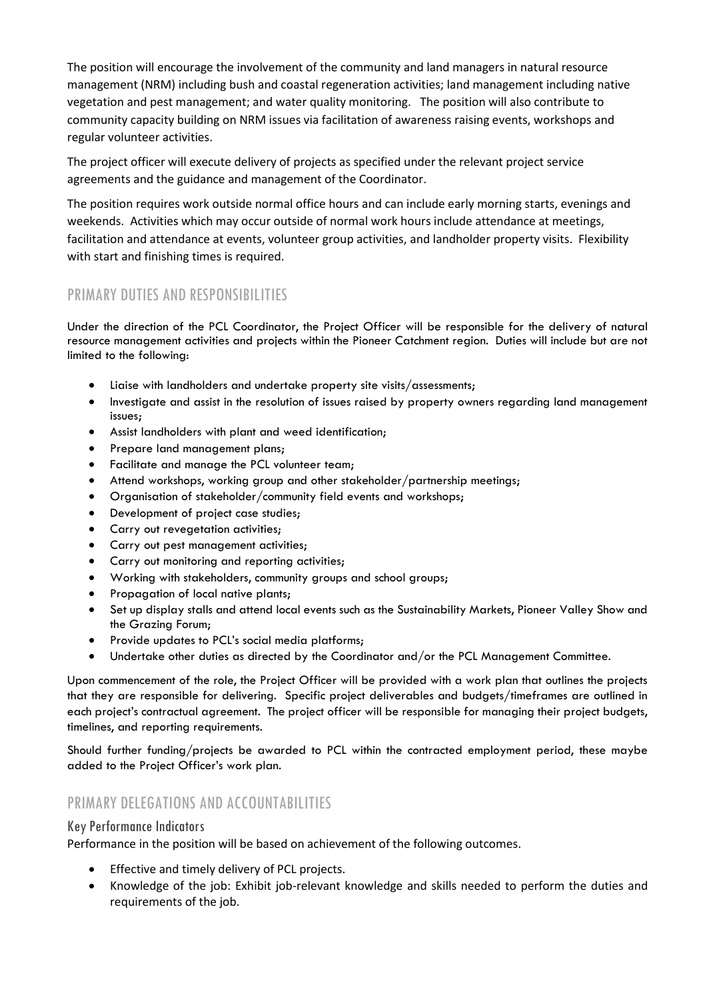The position will encourage the involvement of the community and land managers in natural resource management (NRM) including bush and coastal regeneration activities; land management including native vegetation and pest management; and water quality monitoring. The position will also contribute to community capacity building on NRM issues via facilitation of awareness raising events, workshops and regular volunteer activities.

The project officer will execute delivery of projects as specified under the relevant project service agreements and the guidance and management of the Coordinator.

The position requires work outside normal office hours and can include early morning starts, evenings and weekends. Activities which may occur outside of normal work hours include attendance at meetings, facilitation and attendance at events, volunteer group activities, and landholder property visits. Flexibility with start and finishing times is required.

# PRIMARY DUTIES AND RESPONSIBILITIES

Under the direction of the PCL Coordinator, the Project Officer will be responsible for the delivery of natural resource management activities and projects within the Pioneer Catchment region. Duties will include but are not limited to the following:

- Liaise with landholders and undertake property site visits/assessments;
- Investigate and assist in the resolution of issues raised by property owners regarding land management issues;
- Assist landholders with plant and weed identification;
- Prepare land management plans;
- Facilitate and manage the PCL volunteer team;
- Attend workshops, working group and other stakeholder/partnership meetings;
- Organisation of stakeholder/community field events and workshops;
- Development of project case studies;
- Carry out revegetation activities;
- Carry out pest management activities;
- Carry out monitoring and reporting activities;
- Working with stakeholders, community groups and school groups;
- Propagation of local native plants;
- Set up display stalls and attend local events such as the Sustainability Markets, Pioneer Valley Show and the Grazing Forum;
- Provide updates to PCL's social media platforms;
- Undertake other duties as directed by the Coordinator and/or the PCL Management Committee.

Upon commencement of the role, the Project Officer will be provided with a work plan that outlines the projects that they are responsible for delivering. Specific project deliverables and budgets/timeframes are outlined in each project's contractual agreement. The project officer will be responsible for managing their project budgets, timelines, and reporting requirements.

Should further funding/projects be awarded to PCL within the contracted employment period, these maybe added to the Project Officer's work plan.

# PRIMARY DELEGATIONS AND ACCOUNTABILITIES

#### Key Performance Indicators

Performance in the position will be based on achievement of the following outcomes.

- Effective and timely delivery of PCL projects.
- Knowledge of the job: Exhibit job-relevant knowledge and skills needed to perform the duties and requirements of the job.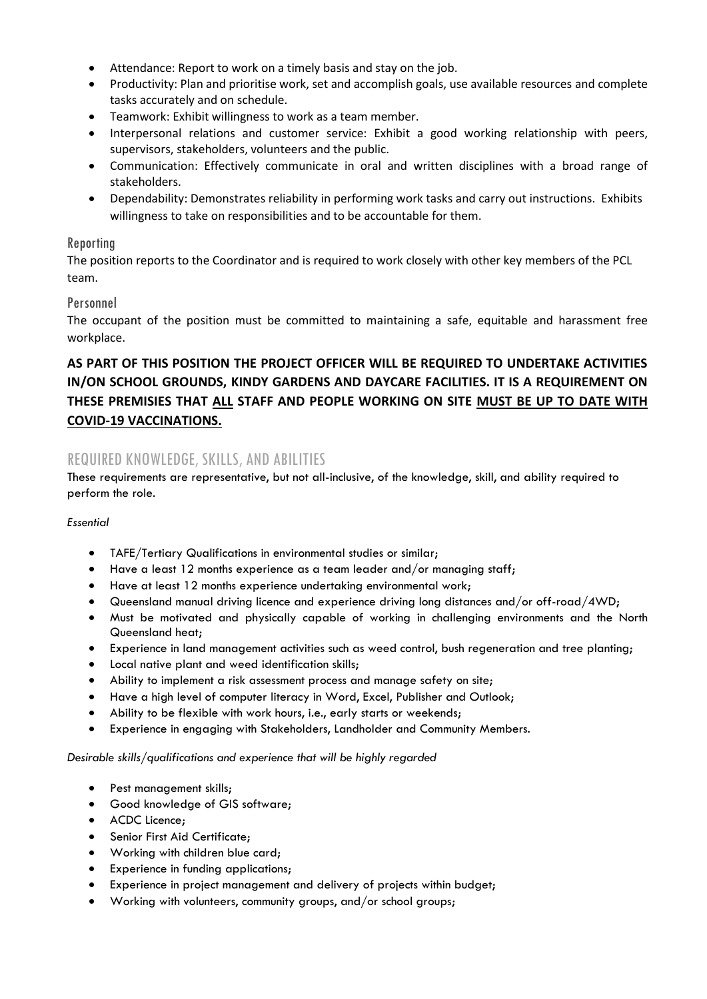- Attendance: Report to work on a timely basis and stay on the job.
- Productivity: Plan and prioritise work, set and accomplish goals, use available resources and complete tasks accurately and on schedule.
- Teamwork: Exhibit willingness to work as a team member.
- Interpersonal relations and customer service: Exhibit a good working relationship with peers, supervisors, stakeholders, volunteers and the public.
- Communication: Effectively communicate in oral and written disciplines with a broad range of stakeholders.
- Dependability: Demonstrates reliability in performing work tasks and carry out instructions. Exhibits willingness to take on responsibilities and to be accountable for them.

#### Reporting

The position reports to the Coordinator and is required to work closely with other key members of the PCL team.

#### Personnel

The occupant of the position must be committed to maintaining a safe, equitable and harassment free workplace.

# **AS PART OF THIS POSITION THE PROJECT OFFICER WILL BE REQUIRED TO UNDERTAKE ACTIVITIES IN/ON SCHOOL GROUNDS, KINDY GARDENS AND DAYCARE FACILITIES. IT IS A REQUIREMENT ON THESE PREMISIES THAT ALL STAFF AND PEOPLE WORKING ON SITE MUST BE UP TO DATE WITH COVID-19 VACCINATIONS.**

### REQUIRED KNOWLEDGE, SKILLS, AND ABILITIES

These requirements are representative, but not all-inclusive, of the knowledge, skill, and ability required to perform the role.

#### *Essential*

- TAFE/Tertiary Qualifications in environmental studies or similar;
- Have a least 12 months experience as a team leader and/or managing staff;
- Have at least 12 months experience undertaking environmental work;
- Queensland manual driving licence and experience driving long distances and/or off-road/4WD;
- Must be motivated and physically capable of working in challenging environments and the North Queensland heat;
- Experience in land management activities such as weed control, bush regeneration and tree planting;
- Local native plant and weed identification skills;
- Ability to implement a risk assessment process and manage safety on site;
- Have a high level of computer literacy in Word, Excel, Publisher and Outlook;
- Ability to be flexible with work hours, i.e., early starts or weekends;
- Experience in engaging with Stakeholders, Landholder and Community Members.

#### *Desirable skills/qualifications and experience that will be highly regarded*

- Pest management skills;
- Good knowledge of GIS software;
- ACDC Licence;
- Senior First Aid Certificate;
- Working with children blue card;
- Experience in funding applications;
- Experience in project management and delivery of projects within budget;
- Working with volunteers, community groups, and/or school groups;